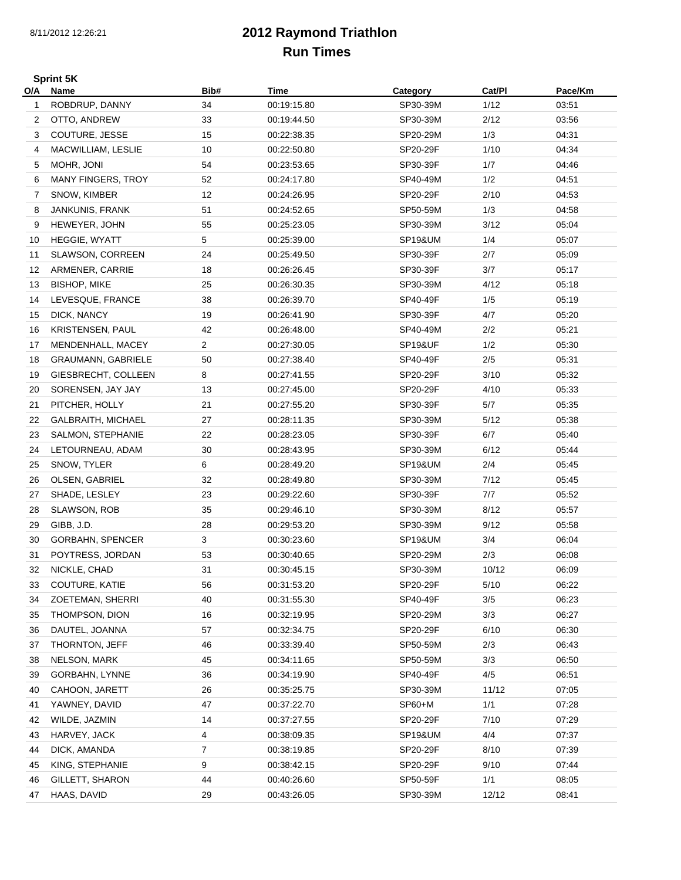## **2012 Raymond Triathlon Run Times**

**Sprint 5K O/A**

| O/A | Name                            | Bib#           | Time                       | Category             | Cat/PI | Pace/Km |
|-----|---------------------------------|----------------|----------------------------|----------------------|--------|---------|
| 1   | ROBDRUP, DANNY                  | 34             | 00:19:15.80                | SP30-39M             | 1/12   | 03:51   |
| 2   | OTTO, ANDREW                    | 33             | 00:19:44.50                | SP30-39M             | 2/12   | 03:56   |
| 3   | COUTURE, JESSE                  | 15             | 00:22:38.35                | SP20-29M             | 1/3    | 04:31   |
| 4   | MACWILLIAM, LESLIE              | 10             | 00:22:50.80                | SP20-29F             | 1/10   | 04:34   |
| 5   | MOHR, JONI                      | 54             | 00:23:53.65                | SP30-39F             | 1/7    | 04:46   |
| 6   | <b>MANY FINGERS, TROY</b>       | 52             | 00:24:17.80                | SP40-49M             | 1/2    | 04:51   |
| 7   | SNOW, KIMBER                    | 12             | 00:24:26.95                | SP20-29F             | 2/10   | 04:53   |
| 8   | JANKUNIS, FRANK                 | 51             | 00:24:52.65                | SP50-59M             | 1/3    | 04:58   |
| 9   | HEWEYER, JOHN                   | 55             | 00:25:23.05                | SP30-39M             | 3/12   | 05:04   |
| 10  | HEGGIE, WYATT                   | 5              | 00:25:39.00                | SP19&UM              | 1/4    | 05:07   |
| 11  | SLAWSON, CORREEN                | 24             | 00:25:49.50                | SP30-39F             | 2/7    | 05:09   |
| 12  | ARMENER, CARRIE                 | 18             | 00:26:26.45                | SP30-39F             | 3/7    | 05:17   |
| 13  | <b>BISHOP, MIKE</b>             | 25             | 00:26:30.35                | SP30-39M             | 4/12   | 05:18   |
| 14  | LEVESQUE, FRANCE                | 38             | 00:26:39.70                | SP40-49F             | 1/5    | 05:19   |
| 15  | DICK, NANCY                     | 19             | 00:26:41.90                | SP30-39F             | 4/7    | 05:20   |
| 16  | <b>KRISTENSEN, PAUL</b>         | 42             | 00:26:48.00                | SP40-49M             | 2/2    | 05:21   |
| 17  | MENDENHALL, MACEY               | $\overline{c}$ | 00:27:30.05                | <b>SP19&amp;UF</b>   | 1/2    | 05:30   |
| 18  | <b>GRAUMANN, GABRIELE</b>       | 50             | 00:27:38.40                | SP40-49F             | 2/5    | 05:31   |
| 19  | GIESBRECHT, COLLEEN             | 8              | 00:27:41.55                | SP20-29F             | 3/10   | 05:32   |
| 20  | SORENSEN, JAY JAY               | 13             | 00:27:45.00                | SP20-29F             | 4/10   | 05:33   |
| 21  | PITCHER, HOLLY                  | 21             | 00:27:55.20                | SP30-39F             | 5/7    | 05:35   |
| 22  | <b>GALBRAITH, MICHAEL</b>       | 27             | 00:28:11.35                | SP30-39M             | 5/12   | 05:38   |
| 23  | SALMON, STEPHANIE               | 22             | 00:28:23.05                | SP30-39F             | 6/7    | 05:40   |
| 24  | LETOURNEAU, ADAM                | 30             | 00:28:43.95                | SP30-39M             | 6/12   | 05:44   |
| 25  | SNOW, TYLER                     | 6              | 00:28:49.20                | <b>SP19&amp;UM</b>   | 2/4    | 05:45   |
|     |                                 | 32             |                            |                      | 7/12   | 05:45   |
| 26  | OLSEN, GABRIEL<br>SHADE, LESLEY | 23             | 00:28:49.80<br>00:29:22.60 | SP30-39M<br>SP30-39F | 7/7    | 05:52   |
| 27  |                                 |                |                            |                      |        |         |
| 28  | SLAWSON, ROB                    | 35             | 00:29:46.10                | SP30-39M             | 8/12   | 05:57   |
| 29  | GIBB, J.D.                      | 28             | 00:29:53.20                | SP30-39M             | 9/12   | 05:58   |
| 30  | <b>GORBAHN, SPENCER</b>         | 3              | 00:30:23.60                | <b>SP19&amp;UM</b>   | 3/4    | 06:04   |
| 31  | POYTRESS, JORDAN                | 53             | 00:30:40.65                | SP20-29M             | 2/3    | 06:08   |
| 32  | NICKLE, CHAD                    | 31             | 00:30:45.15                | SP30-39M             | 10/12  | 06:09   |
| 33  | COUTURE, KATIE                  | 56             | 00:31:53.20                | SP20-29F             | $5/10$ | 06:22   |
| 34  | ZOETEMAN, SHERRI                | 40             | 00:31:55.30                | SP40-49F             | 3/5    | 06:23   |
| 35  | THOMPSON, DION                  | 16             | 00:32:19.95                | SP20-29M             | 3/3    | 06:27   |
| 36  | DAUTEL, JOANNA                  | 57             | 00:32:34.75                | SP20-29F             | 6/10   | 06:30   |
| 37  | THORNTON, JEFF                  | 46             | 00:33:39.40                | SP50-59M             | 2/3    | 06:43   |
| 38  | NELSON, MARK                    | 45             | 00:34:11.65                | SP50-59M             | 3/3    | 06:50   |
| 39  | GORBAHN, LYNNE                  | 36             | 00:34:19.90                | SP40-49F             | 4/5    | 06:51   |
| 40  | CAHOON, JARETT                  | 26             | 00:35:25.75                | SP30-39M             | 11/12  | 07:05   |
| 41  | YAWNEY, DAVID                   | 47             | 00:37:22.70                | SP60+M               | 1/1    | 07:28   |
| 42  | WILDE, JAZMIN                   | 14             | 00:37:27.55                | SP20-29F             | 7/10   | 07:29   |
| 43  | HARVEY, JACK                    | 4              | 00:38:09.35                | <b>SP19&amp;UM</b>   | 4/4    | 07:37   |
| 44  | DICK, AMANDA                    | 7              | 00:38:19.85                | SP20-29F             | 8/10   | 07:39   |
| 45  | KING, STEPHANIE                 | 9              | 00:38:42.15                | SP20-29F             | 9/10   | 07:44   |
| 46  | GILLETT, SHARON                 | 44             | 00:40:26.60                | SP50-59F             | 1/1    | 08:05   |
| 47  | HAAS, DAVID                     | 29             | 00:43:26.05                | SP30-39M             | 12/12  | 08:41   |